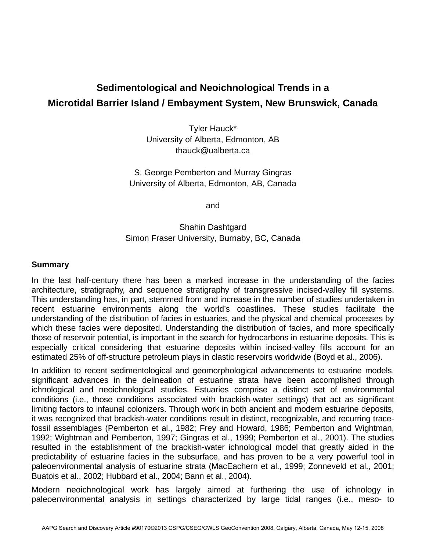# **Sedimentological and Neoichnological Trends in a Microtidal Barrier Island / Embayment System, New Brunswick, Canada**

Tyler Hauck\* University of Alberta, Edmonton, AB thauck@ualberta.ca

S. George Pemberton and Murray Gingras University of Alberta, Edmonton, AB, Canada

and

## Shahin Dashtgard Simon Fraser University, Burnaby, BC, Canada

### **Summary**

In the last half-century there has been a marked increase in the understanding of the facies architecture, stratigraphy, and sequence stratigraphy of transgressive incised-valley fill systems. This understanding has, in part, stemmed from and increase in the number of studies undertaken in recent estuarine environments along the world's coastlines. These studies facilitate the understanding of the distribution of facies in estuaries, and the physical and chemical processes by which these facies were deposited. Understanding the distribution of facies, and more specifically those of reservoir potential, is important in the search for hydrocarbons in estuarine deposits. This is especially critical considering that estuarine deposits within incised-valley fills account for an estimated 25% of off-structure petroleum plays in clastic reservoirs worldwide (Boyd et al., 2006).

In addition to recent sedimentological and geomorphological advancements to estuarine models, significant advances in the delineation of estuarine strata have been accomplished through ichnological and neoichnological studies. Estuaries comprise a distinct set of environmental conditions (i.e., those conditions associated with brackish-water settings) that act as significant limiting factors to infaunal colonizers. Through work in both ancient and modern estuarine deposits, it was recognized that brackish-water conditions result in distinct, recognizable, and recurring tracefossil assemblages (Pemberton et al., 1982; Frey and Howard, 1986; Pemberton and Wightman, 1992; Wightman and Pemberton, 1997; Gingras et al., 1999; Pemberton et al., 2001). The studies resulted in the establishment of the brackish-water ichnological model that greatly aided in the predictability of estuarine facies in the subsurface, and has proven to be a very powerful tool in paleoenvironmental analysis of estuarine strata (MacEachern et al., 1999; Zonneveld et al., 2001; Buatois et al., 2002; Hubbard et al., 2004; Bann et al., 2004).

Modern neoichnological work has largely aimed at furthering the use of ichnology in paleoenvironmental analysis in settings characterized by large tidal ranges (i.e., meso- to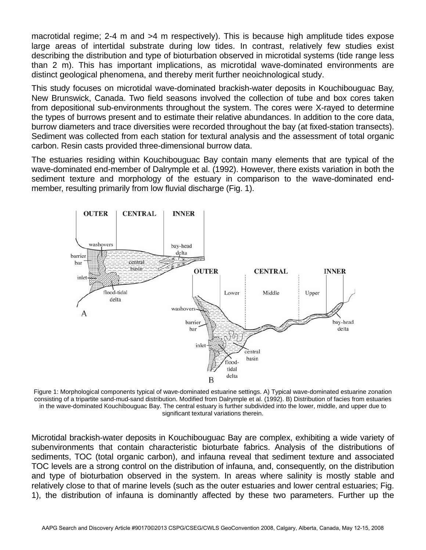macrotidal regime; 2-4 m and >4 m respectively). This is because high amplitude tides expose large areas of intertidal substrate during low tides. In contrast, relatively few studies exist describing the distribution and type of bioturbation observed in microtidal systems (tide range less than 2 m). This has important implications, as microtidal wave-dominated environments are distinct geological phenomena, and thereby merit further neoichnological study.

This study focuses on microtidal wave-dominated brackish-water deposits in Kouchibouguac Bay, New Brunswick, Canada. Two field seasons involved the collection of tube and box cores taken from depositional sub-environments throughout the system. The cores were X-rayed to determine the types of burrows present and to estimate their relative abundances. In addition to the core data, burrow diameters and trace diversities were recorded throughout the bay (at fixed-station transects). Sediment was collected from each station for textural analysis and the assessment of total organic carbon. Resin casts provided three-dimensional burrow data.

The estuaries residing within Kouchibouguac Bay contain many elements that are typical of the wave-dominated end-member of Dalrymple et al. (1992). However, there exists variation in both the sediment texture and morphology of the estuary in comparison to the wave-dominated endmember, resulting primarily from low fluvial discharge (Fig. 1).



Figure 1: Morphological components typical of wave-dominated estuarine settings. A) Typical wave-dominated estuarine zonation consisting of a tripartite sand-mud-sand distribution. Modified from Dalrymple et al. (1992). B) Distribution of facies from estuaries in the wave-dominated Kouchibouguac Bay. The central estuary is further subdivided into the lower, middle, and upper due to significant textural variations therein.

Microtidal brackish-water deposits in Kouchibouguac Bay are complex, exhibiting a wide variety of subenvironments that contain characteristic bioturbate fabrics. Analysis of the distributions of sediments, TOC (total organic carbon), and infauna reveal that sediment texture and associated TOC levels are a strong control on the distribution of infauna, and, consequently, on the distribution and type of bioturbation observed in the system. In areas where salinity is mostly stable and relatively close to that of marine levels (such as the outer estuaries and lower central estuaries; Fig. 1), the distribution of infauna is dominantly affected by these two parameters. Further up the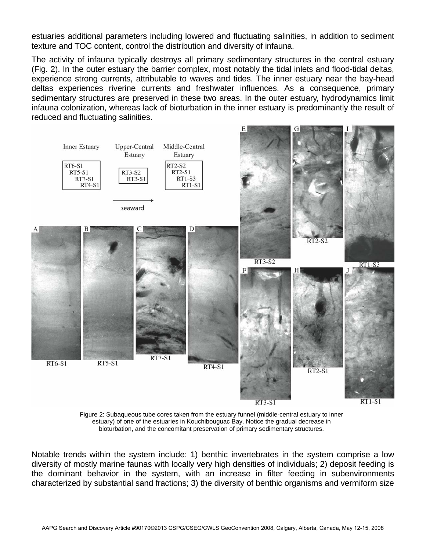estuaries additional parameters including lowered and fluctuating salinities, in addition to sediment texture and TOC content, control the distribution and diversity of infauna.

The activity of infauna typically destroys all primary sedimentary structures in the central estuary (Fig. 2). In the outer estuary the barrier complex, most notably the tidal inlets and flood-tidal deltas, experience strong currents, attributable to waves and tides. The inner estuary near the bay-head deltas experiences riverine currents and freshwater influences. As a consequence, primary sedimentary structures are preserved in these two areas. In the outer estuary, hydrodynamics limit infauna colonization, whereas lack of bioturbation in the inner estuary is predominantly the result of reduced and fluctuating salinities.



Figure 2: Subaqueous tube cores taken from the estuary funnel (middle-central estuary to inner estuary) of one of the estuaries in Kouchibouguac Bay. Notice the gradual decrease in bioturbation, and the concomitant preservation of primary sedimentary structures.

Notable trends within the system include: 1) benthic invertebrates in the system comprise a low diversity of mostly marine faunas with locally very high densities of individuals; 2) deposit feeding is the dominant behavior in the system, with an increase in filter feeding in subenvironments characterized by substantial sand fractions; 3) the diversity of benthic organisms and vermiform size